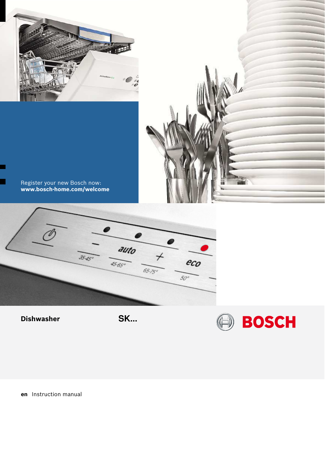



www.bosch-home.com/welcome Register your new Bosch now:

п



**Dishwasher** 

SK...

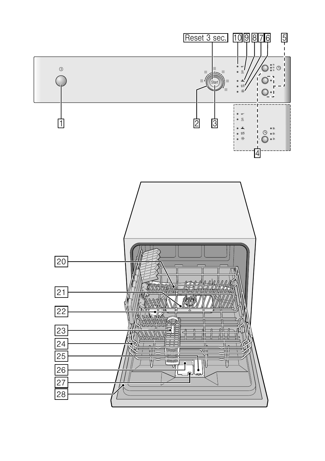<span id="page-1-1"></span><span id="page-1-0"></span>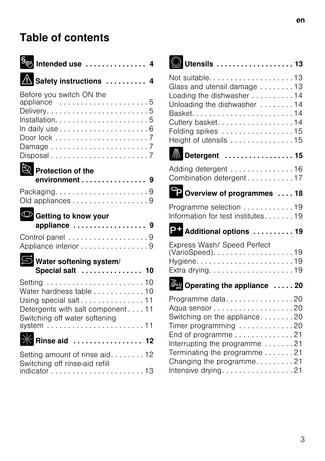## Table of contents

<span id="page-2-1"></span><span id="page-2-0"></span>

| $\mathbf{\mathcal{S}_{\text{c}}\text{}}$ Intended use $\,\ldots\ldots\ldots\ldots\, 4$                                                                                      |  |
|-----------------------------------------------------------------------------------------------------------------------------------------------------------------------------|--|
| A Safety instructions  4                                                                                                                                                    |  |
| Before you switch ON the<br>appliance 5                                                                                                                                     |  |
| Protection of the<br>environment 9                                                                                                                                          |  |
| Packaging9<br>Old appliances 9                                                                                                                                              |  |
| Getting to know your<br>appliance  9                                                                                                                                        |  |
| Control panel 9<br>Appliance interior 9                                                                                                                                     |  |
| Water softening system/<br>Special salt  10                                                                                                                                 |  |
| Water hardness table 10<br>Using special salt11<br>Detergents with salt component 11<br>Switching off water softening<br>system $\ldots \ldots \ldots \ldots \ldots \ldots$ |  |
| $\mathcal{N}_{\mathcal{A}}$<br><b>Rinse aid  12</b>                                                                                                                         |  |
| Setting amount of rinse aid. 12<br>Switching off rinse-aid refill                                                                                                           |  |

<span id="page-2-2"></span>

|--|--|--|--|--|--|--|--|--|--|--|--|--|--|--|--|--|--|--|--|--|--|

| Glass and utensil damage  13<br>Loading the dishwasher 14<br>Unloading the dishwasher  14<br>Cutlery basket. 14<br>Folding spikes 15<br>Height of utensils 15 |
|---------------------------------------------------------------------------------------------------------------------------------------------------------------|
| <b>N</b> Detergent  15                                                                                                                                        |
| Adding detergent 16<br>Combination detergent 17                                                                                                               |
| Overview of programmes  18                                                                                                                                    |
| Programme selection 19<br>Information for test institutes19                                                                                                   |
| P+ Additional options  19                                                                                                                                     |
| Express Wash/ Speed Perfect                                                                                                                                   |
| Operating the appliance  20                                                                                                                                   |
|                                                                                                                                                               |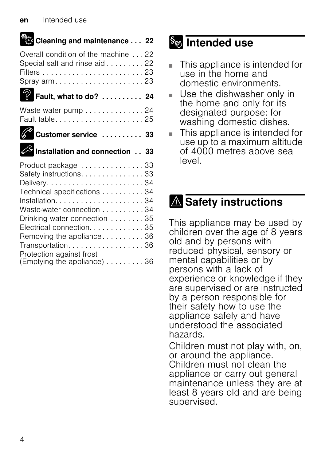| 幾。<br>《然 Cleaning and maintenance 22                                                                                                                                                                                                                               |  |
|--------------------------------------------------------------------------------------------------------------------------------------------------------------------------------------------------------------------------------------------------------------------|--|
| Overall condition of the machine 22<br>Special salt and rinse aid 22<br>Spray arm23                                                                                                                                                                                |  |
| Fault, what to do? 24                                                                                                                                                                                                                                              |  |
|                                                                                                                                                                                                                                                                    |  |
| Waste water pump 24                                                                                                                                                                                                                                                |  |
| Customer service  33                                                                                                                                                                                                                                               |  |
| <b>S</b> Installation and connection 33                                                                                                                                                                                                                            |  |
|                                                                                                                                                                                                                                                                    |  |
| Product package 33<br>Safety instructions. 33<br>Delivery34<br>Technical specifications 34<br>Waste-water connection 34<br>Drinking water connection 35<br>Electrical connection. 35<br>Removing the appliance36<br>Transportation. 36<br>Protection against frost |  |

## **Solution** Intended use

- This appliance is intended for use in the home and domestic environments.
- Use the dishwasher only in the home and only for its designated purpose: for washing domestic dishes.
- This appliance is intended for use up to a maximum altitude of 4000 metres above sea level.

# **A** Safety instructions

This appliance may be used by children over the age of 8 years old and by persons with reduced physical, sensory or mental capabilities or by persons with a lack of experience or knowledge if they are supervised or are instructed by a person responsible for their safety how to use the appliance safely and have understood the associated hazards.

<span id="page-3-0"></span>Children must not play with, on, or around the appliance. Children must not clean the appliance or carry out general maintenance unless they are at least 8 years old and are being supervised.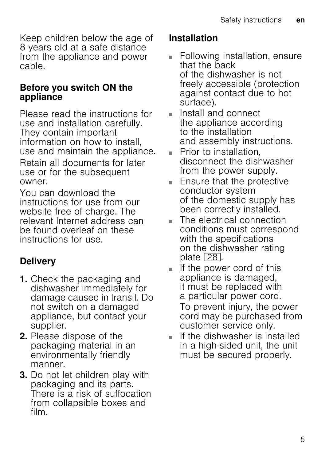<span id="page-4-0"></span>Keep children below the age of 8 years old at a safe distance from the appliance and power cable.

#### Before you switch ON the appliance

<span id="page-4-1"></span>Please read the instructions for use and installation carefully. They contain important information on how to install, use and maintain the appliance.

Retain all documents for later use or for the subsequent owner.

You can download the instructions for use from our website free of charge. The relevant Internet address can be found overleaf on these instructions for use.

## **Delivery**

- <span id="page-4-2"></span>1. Check the packaging and dishwasher immediately for damage caused in transit. Do not switch on a damaged appliance, but contact your supplier.
- 2. Please dispose of the packaging material in an environmentally friendly manner.
- 3. Do not let children play with packaging and its parts. There is a risk of suffocation from collapsible boxes and film.

### Installation

- Following installation, ensure that the back of the dishwasher is not freely accessible (protection against contact due to hot surface).
- Install and connect the appliance according to the installation and assembly instructions.
- Prior to installation, disconnect the dishwasher from the power supply.
- Ensure that the protective conductor system of the domestic supply has been correctly installed.
- The electrical connection conditions must correspond with the specifications on the dishwasher rating plate  $\sqrt{28}$ .
- If the power cord of this appliance is damaged, it must be replaced with a particular power cord. To prevent injury, the power cord may be purchased from customer service only.
- If the dishwasher is installed in a high-sided unit, the unit must be secured properly.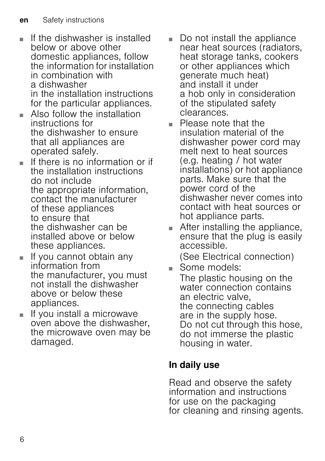- If the dishwasher is installed below or above other domestic appliances, follow the information for installation in combination with a dishwasher in the installation instructions for the particular appliances.
- Also follow the installation instructions for the dishwasher to ensure that all appliances are operated safely.
- If there is no information or if the installation instructions do not include the appropriate information, contact the manufacturer of these appliances to ensure that the dishwasher can be installed above or below these appliances.
- If you cannot obtain any information from the manufacturer, you must not install the dishwasher above or below these appliances.
- If you install a microwave oven above the dishwasher, the microwave oven may be damaged.
- Do not install the appliance near heat sources (radiators, heat storage tanks, cookers or other appliances which generate much heat) and install it under a hob only in consideration of the stipulated safety clearances.
- Please note that the insulation material of the dishwasher power cord may melt next to heat sources (e.g. heating / hot water installations) or hot appliance parts. Make sure that the power cord of the dishwasher never comes into contact with heat sources or hot appliance parts.
- After installing the appliance, ensure that the plug is easily accessible. (See Electrical connection)
- Some models:

The plastic housing on the water connection contains an electric valve, the connecting cables are in the supply hose. Do not cut through this hose, do not immerse the plastic housing in water.

### In daily use

Read and observe the safety information and instructions for use on the packaging for cleaning and rinsing agents.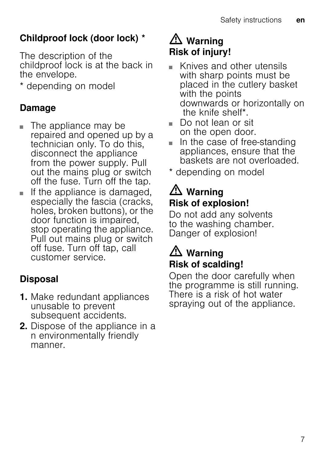## <span id="page-6-0"></span>Childproof lock (door lock) \*

The description of the childproof lock is at the back in the envelope.

\* depending on model

### Damage

- The appliance may be repaired and opened up by a technician only. To do this, disconnect the appliance from the power supply. Pull out the mains plug or switch off the fuse. Turn off the tap.
- <span id="page-6-1"></span>■ If the appliance is damaged, especially the fascia (cracks, holes, broken buttons), or the door function is impaired, stop operating the appliance. Pull out mains plug or switch off fuse. Turn off tap, call customer service.

## <span id="page-6-2"></span>Disposal

- 1. Make redundant appliances unusable to prevent subsequent accidents.
- 2. Dispose of the appliance in a n environmentally friendly manner.

## <span id="page-6-3"></span> $\triangle$  Warning Risk of injury!

- Knives and other utensils with sharp points must be placed in the cutlery basket with the points downwards or horizontally on the knife shelf\*.
- <span id="page-6-4"></span>■ Do not lean or sit on the open door.
- In the case of free-standing appliances, ensure that the baskets are not overloaded.
- \* depending on model

## $\mathbb{A}$  Warning Risk of explosion!

Do not add any solvents to the washing chamber. Danger of explosion!

## $\mathbb{A}$  Warning Risk of scalding!

<span id="page-6-5"></span>Open the door carefully when the programme is still running. There is a risk of hot water spraying out of the appliance.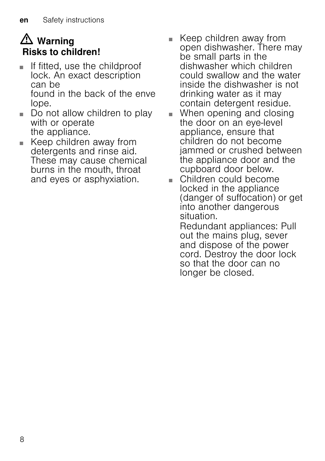## <span id="page-7-0"></span> $\triangle$  Warning Risks to children!

- If fitted, use the childproof lock. An exact description can be found in the back of the enve lope.
- Do not allow children to play with or operate the appliance.
- <span id="page-7-2"></span>Keep children away from detergents and rinse aid. These may cause chemical burns in the mouth, throat and eyes or asphyxiation.
- <span id="page-7-1"></span>■ Keep children away from open dishwasher. There may be small parts in the dishwasher which children could swallow and the water inside the dishwasher is not drinking water as it may contain detergent residue.
- When opening and closing the door on an eye-level appliance, ensure that children do not become jammed or crushed between the appliance door and the cupboard door below.
- Children could become locked in the appliance (danger of suffocation) or get into another dangerous situation.

Redundant appliances: Pull out the mains plug, sever and dispose of the power cord. Destroy the door lock so that the door can no longer be closed.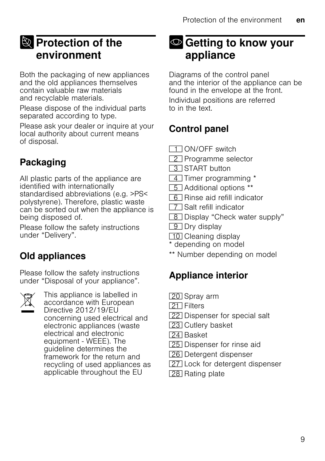## <span id="page-8-0"></span>**E** Protection of the environment

Both the packaging of new appliances and the old appliances themselves contain valuable raw materials and recyclable materials.

Please dispose of the individual parts separated according to type.

Please ask your dealer or inquire at your local authority about current means of disposal.

## Packaging

All plastic parts of the appliance are identified with internationally standardised abbreviations (e.g. >PS< polystyrene). Therefore, plastic waste can be sorted out when the appliance is being disposed of.

Please follow the safety instructions under "Delivery".

## Old appliances

Please follow the safety instructions under "Disposal of your appliance".



This appliance is labelled in accordance with European Directive 2012/19/EU concerning used electrical and electronic appliances (waste electrical and electronic equipment - WEEE). The guideline determines the framework for the return and recycling of used appliances as applicable throughout the EU

## <span id="page-8-1"></span><sup>O</sup> Getting to know your appliance

Diagrams of the control panel and the interior of the appliance can be found in the envelope at the front. Individual positions are referred to in the text.

### <span id="page-8-2"></span>Control panel

(ON/OFF switch

- 2 Programme selector
- 3 START button
- $\boxed{4}$  Timer programming \*
- **F** Additional options \*\*
- **B** Rinse aid refill indicator
- $\boxed{7}$  Salt refill indicator
- **B** Display "Check water supply"
- $\boxed{9}$  Dry display
- [10] Cleaning display
- \* depending on model
- \*\* Number depending on model

## Appliance interior

- [20] Spray arm
- **1211** Filters
- [22] Dispenser for special salt
- [23] Cutlery basket
- [24] Basket
- [25] Dispenser for rinse aid
- [26] Detergent dispenser
- [27] Lock for detergent dispenser
- [28] Rating plate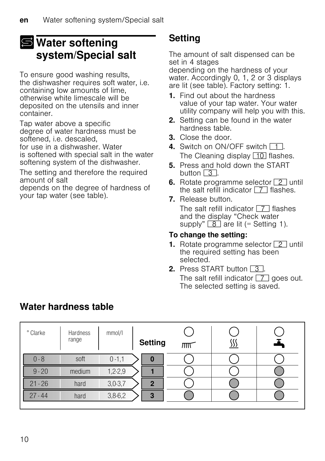## <span id="page-9-0"></span>S Water softening system/Special salt

To ensure good washing results, the dishwasher requires soft water, i.e. containing low amounts of lime, otherwise white limescale will be deposited on the utensils and inner container.

Tap water above a specific degree of water hardness must be softened, i.e. descaled,

for use in a dishwasher. Water is softened with special salt in the water softening system of the dishwasher.

The setting and therefore the required amount of salt

depends on the degree of hardness of your tap water (see table).

### **Setting**

The amount of salt dispensed can be set in 4 stages

depending on the hardness of your water. Accordingly 0, 1, 2 or 3 displays are lit (see table). Factory setting: 1.

- 1. Find out about the hardness value of your tap water. Your water utility company will help you with this.
- 2. Setting can be found in the water hardness table.
- 3. Close the door.
- 4. Switch on ON/OFF switch  $\Box$ . The Cleaning display  $\boxed{10}$  flashes.
- 5. Press and hold down the START button  $\boxed{3}$ .
- 6. Rotate programme selector  $\boxed{2}$  until the salt refill indicator  $\boxed{7}$  flashes.
- <span id="page-9-1"></span>7. Release button. The salt refill indicator  $\boxed{7}$  flashes and the display "Check water supply"  $\boxed{8}$  are lit (= Setting 1).

#### To change the setting:

- **1.** Rotate programme selector  $\boxed{2}$  until the required setting has been selected.
- 2. Press START button  $\boxed{3}$ . The salt refill indicator  $\boxed{7}$  goes out. The selected setting is saved.

| ° Clarke  | Hardness<br>range | mmol/l     | <b>Setting</b> | $\overline{m}$ | <u>,,,</u> |  |
|-----------|-------------------|------------|----------------|----------------|------------|--|
| 0 - 8     | soft              | $0 - 1, 1$ | o              |                |            |  |
| $9 - 20$  | medium            | $1,2-2,9$  |                |                |            |  |
| $21 - 26$ | hard              | $3,0-3,7$  | っ              |                |            |  |
| $27 - 44$ | hard              | $3,8-6,2$  | 3              |                |            |  |

### Water hardness table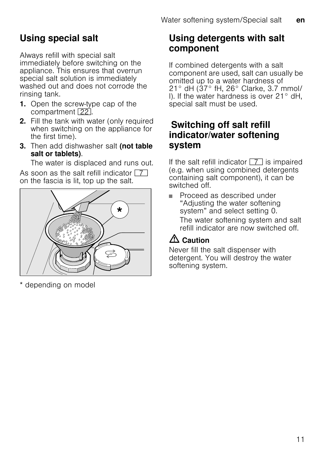## Using special salt

Always refill with special salt immediately before switching on the appliance. This ensures that overrun special salt solution is immediately washed out and does not corrode the rinsing tank.

- 1. Open the screw-type cap of the compartment [22].
- 2. Fill the tank with water (only required when switching on the appliance for the first time).
- 3. Then add dishwasher salt (not table salt or tablets).

The water is displaced and runs out.

As soon as the salt refill indicator  $\boxed{7}$ on the fascia is lit, top up the salt.

<span id="page-10-0"></span>

\* depending on model

#### <span id="page-10-1"></span>Using detergents with salt component

<span id="page-10-2"></span>If combined detergents with a salt component are used, salt can usually be omitted up to a water hardness of 21° dH (37° fH, 26° Clarke, 3.7 mmol/ l). If the water hardness is over 21° dH, special salt must be used.

#### Switching off salt refill indicator/water softening system

If the salt refill indicator  $\boxed{7}$  is impaired (e.g. when using combined detergents containing salt component), it can be switched off.

<span id="page-10-3"></span>Proceed as described under "Adjusting the water softening system" and select setting 0. The water softening system and salt refill indicator are now switched off.

### $\bigwedge$  Caution

Never fill the salt dispenser with detergent. You will destroy the water softening system.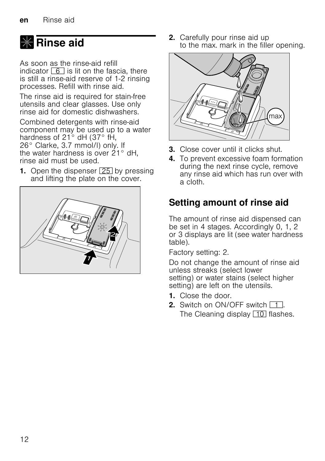# <span id="page-11-0"></span>**X** Rinse aid

As soon as the rinse-aid refill indicator  $\boxed{6}$  is lit on the fascia, there is still a rinse-aid reserve of 1-2 rinsing processes. Refill with rinse aid.

The rinse aid is required for stain-free utensils and clear glasses. Use only rinse aid for domestic dishwashers.

Combined detergents with rinse-aid component may be used up to a water hardness of 21° dH (37° fH, 26° Clarke, 3.7 mmol/l) only. If the water hardness is over 21° dH, rinse aid must be used.

**1.** Open the dispenser  $\boxed{25}$  by pressing and lifting the plate on the cover.

<span id="page-11-1"></span>

<span id="page-11-2"></span>2. Carefully pour rinse aid up to the max. mark in the filler opening.



- 3. Close cover until it clicks shut.
- 4. To prevent excessive foam formation during the next rinse cycle, remove any rinse aid which has run over with a cloth.

### <span id="page-11-3"></span>Setting amount of rinse aid

The amount of rinse aid dispensed can be set in 4 stages. Accordingly 0, 1, 2 or 3 displays are lit (see water hardness table).

Factory setting: 2.

Do not change the amount of rinse aid unless streaks (select lower setting) or water stains (select higher setting) are left on the utensils.

- 1. Close the door.
- 2. Switch on ON/OFF switch  $\boxed{1}$ . The Cleaning display  $\boxed{10}$  flashes.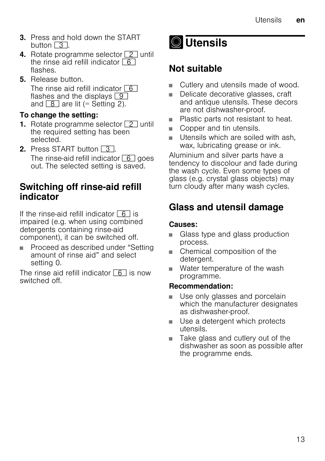- <span id="page-12-0"></span>3. Press and hold down the START button  $\boxed{3}$ .
- 4. Rotate programme selector  $\boxed{2}$  until the rinse aid refill indicator  $\boxed{6}$ flashes.
- 5. Release button.

The rinse aid refill indicator  $\boxed{6}$ flashes and the displays  $\boxed{9}$ and  $\boxed{8}$  are lit (= Setting 2).

#### To change the setting:

- **1.** Rotate programme selector  $\boxed{2}$  until the required setting has been selected.
- 2. Press START button  $\boxed{3}$ . The rinse-aid refill indicator  $\boxed{6}$  goes out. The selected setting is saved.

#### <span id="page-12-1"></span>Switching off rinse-aid refill indicator

If the rinse-aid refill indicator  $\boxed{6}$  is impaired (e.g. when using combined detergents containing rinse-aid component), it can be switched off.

■ Proceed as described under "Setting amount of rinse aid" and select setting 0.

The rinse aid refill indicator  $\boxed{6}$  is now switched off.

<span id="page-12-2"></span>

### Not suitable

- Cutlery and utensils made of wood.
- Delicate decorative glasses, craft and antique utensils. These decors are not dishwasher-proof.
- Plastic parts not resistant to heat.
- Copper and tin utensils.
- Utensils which are soiled with ash, wax, lubricating grease or ink.

Aluminium and silver parts have a tendency to discolour and fade during the wash cycle. Even some types of glass (e.g. crystal glass objects) may turn cloudy after many wash cycles.

### Glass and utensil damage

#### Causes:

- Glass type and glass production process.
- Chemical composition of the detergent.
- Water temperature of the wash programme.

#### Recommendation:

- Use only glasses and porcelain which the manufacturer designates as dishwasher-proof.
- Use a detergent which protects utensils.
- Take glass and cutlery out of the dishwasher as soon as possible after the programme ends.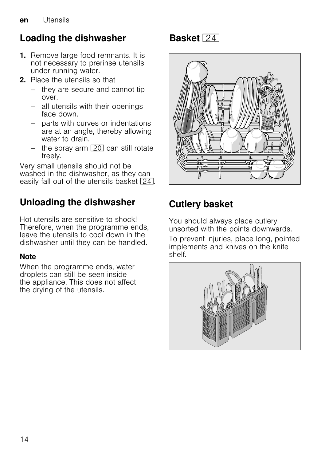## <span id="page-13-0"></span>Loading the dishwasher

- 1. Remove large food remnants. It is not necessary to prerinse utensils under running water.
- 2. Place the utensils so that
	- they are secure and cannot tip over.
	- all utensils with their openings face down.
	- parts with curves or indentations are at an angle, thereby allowing water to drain.
	- the spray arm  $\boxed{20}$  can still rotate freely.

Very small utensils should not be washed in the dishwasher, as they can easily fall out of the utensils basket  $\boxed{24}$ .

### Unloading the dishwasher

Hot utensils are sensitive to shock! Therefore, when the programme ends, leave the utensils to cool down in the dishwasher until they can be handled.

#### **Note**

When the programme ends, water droplets can still be seen inside the appliance. This does not affect the drying of the utensils.

## Basket 24



## Cutlery basket

You should always place cutlery unsorted with the points downwards.

To prevent injuries, place long, pointed implements and knives on the knife shelf.

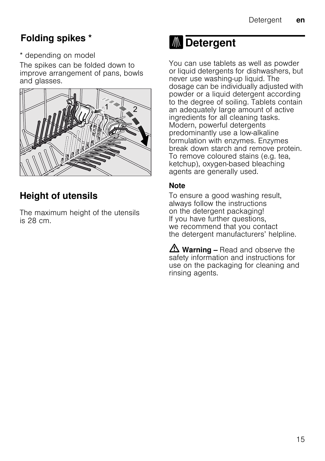### <span id="page-14-0"></span>Folding spikes \*

\* depending on model

The spikes can be folded down to improve arrangement of pans, bowls and glasses.



## Height of utensils

The maximum height of the utensils is 28 cm.

# **M** Detergent

You can use tablets as well as powder or liquid detergents for dishwashers, but never use washing-up liquid. The dosage can be individually adjusted with powder or a liquid detergent according to the degree of soiling. Tablets contain an adequately large amount of active ingredients for all cleaning tasks. Modern, powerful detergents predominantly use a low-alkaline formulation with enzymes. Enzymes break down starch and remove protein. To remove coloured stains (e.g. tea, ketchup), oxygen-based bleaching agents are generally used.

#### **Note**

To ensure a good washing result, always follow the instructions on the detergent packaging! If you have further questions, we recommend that you contact the detergent manufacturers' helpline.

 $\Delta$  Warning – Read and observe the safety information and instructions for use on the packaging for cleaning and rinsing agents.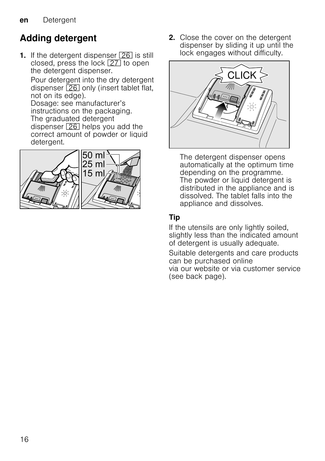## <span id="page-15-0"></span>Adding detergent

1. If the detergent dispenser  $\boxed{26}$  is still closed, press the lock  $\boxed{27}$  to open the detergent dispenser.

Pour detergent into the dry detergent dispenser  $\boxed{26}$  only (insert tablet flat, not on its edge).

Dosage: see manufacturer's instructions on the packaging. The graduated detergent dispenser  $\sqrt{26}$  helps you add the correct amount of powder or liquid detergent.



2. Close the cover on the detergent dispenser by sliding it up until the lock engages without difficulty.



The detergent dispenser opens automatically at the optimum time depending on the programme. The powder or liquid detergent is distributed in the appliance and is dissolved. The tablet falls into the appliance and dissolves.

#### Tip

If the utensils are only lightly soiled, slightly less than the indicated amount of detergent is usually adequate.

Suitable detergents and care products can be purchased online via our website or via customer service

(see back page).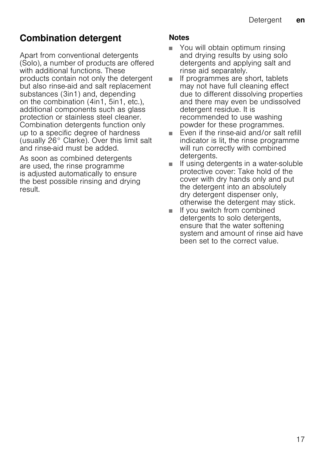### <span id="page-16-0"></span>Combination detergent

<span id="page-16-1"></span>Apart from conventional detergents (Solo), a number of products are offered with additional functions. These products contain not only the detergent but also rinse-aid and salt replacement substances (3in1) and, depending on the combination (4in1, 5in1, etc.), additional components such as glass protection or stainless steel cleaner. Combination detergents function only up to a specific degree of hardness (usually 26° Clarke). Over this limit salt and rinse-aid must be added.

As soon as combined detergents are used, the rinse programme is adjusted automatically to ensure the best possible rinsing and drying result.

#### <span id="page-16-2"></span>Notes

- You will obtain optimum rinsing and drying results by using solo detergents and applying salt and rinse aid separately.
- <span id="page-16-3"></span>■ If programmes are short, tablets may not have full cleaning effect due to different dissolving properties and there may even be undissolved detergent residue. It is recommended to use washing powder for these programmes.
- Even if the rinse-aid and/or salt refill indicator is lit, the rinse programme will run correctly with combined detergents.
- If using detergents in a water-soluble protective cover: Take hold of the cover with dry hands only and put the detergent into an absolutely dry detergent dispenser only, otherwise the detergent may stick.
- <span id="page-16-5"></span><span id="page-16-4"></span>■ If you switch from combined detergents to solo detergents, ensure that the water softening system and amount of rinse aid have been set to the correct value.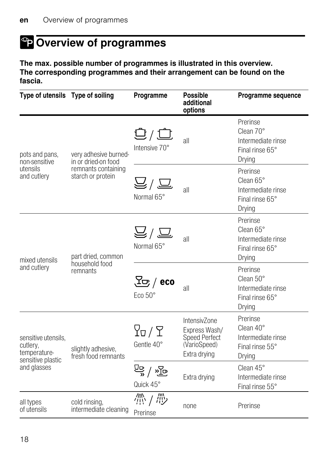# <span id="page-17-3"></span><span id="page-17-0"></span><sup>o</sup> Overview of programmes

The max. possible number of programmes is illustrated in this overview. The corresponding programmes and their arrangement can be found on the fascia.

<span id="page-17-4"></span><span id="page-17-2"></span><span id="page-17-1"></span>

| Type of utensils  Type of soiling                                    |                                                  | Programme                                                      | <b>Possible</b><br>additional<br>options                                       | Programme sequence                                                       |
|----------------------------------------------------------------------|--------------------------------------------------|----------------------------------------------------------------|--------------------------------------------------------------------------------|--------------------------------------------------------------------------|
| pots and pans,<br>non-sensitive                                      | very adhesive burned-<br>in or dried-on food     | $\overline{\mathbb{G}}/\overline{\mathbb{G}}$<br>Intensive 70° | all                                                                            | Prerinse<br>Clean 70°<br>Intermediate rinse<br>Final rinse 65°<br>Drying |
| utensils<br>and cutlery                                              | remnants containing<br>starch or protein         | $\widehat{\Xi} \backslash \widehat{\Xi}$<br>Normal 65°         | all                                                                            | Prerinse<br>Clean 65°<br>Intermediate rinse<br>Final rinse 65°<br>Drying |
| mixed utensils                                                       | part dried, common<br>household food<br>remnants | $\overline{\Xi}/\overline{\Xi}$<br>Normal 65°                  | all                                                                            | Prerinse<br>Clean 65°<br>Intermediate rinse<br>Final rinse 65°<br>Drying |
| and cutlery                                                          |                                                  | $\mathcal{F}^{\mathcal{F}}$ (eco<br>Eco 50°                    | all                                                                            | Prerinse<br>Clean 50°<br>Intermediate rinse<br>Final rinse 65°<br>Drying |
| sensitive utensils,<br>cutlery,<br>temperature-<br>sensitive plastic | slightly adhesive,<br>fresh food remnants        | $\Gamma$ / $\Gamma$<br>Gentle 40°                              | IntensivZone<br>Express Wash/<br>Speed Perfect<br>(VarioSpeed)<br>Extra drying | Prerinse<br>Clean 40°<br>Intermediate rinse<br>Final rinse 55°<br>Drying |
| and glasses                                                          |                                                  | 말 \ 은<br>Quick 45°                                             | Extra drying                                                                   | Clean 45°<br>Intermediate rinse<br>Final rinse 55°                       |
| all types<br>of utensils                                             | cold rinsing,<br>intermediate cleaning           | 帶 / 帶<br>Prerinse                                              | none                                                                           | Prerinse                                                                 |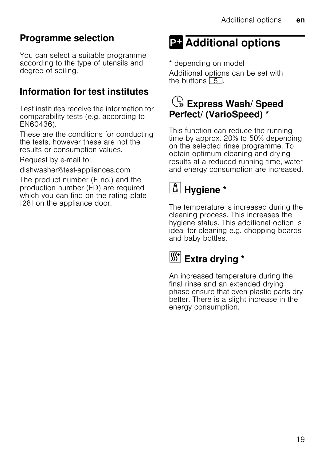## <span id="page-18-0"></span>Programme selection

You can select a suitable programme according to the type of utensils and degree of soiling.

### Information for test institutes

Test institutes receive the information for comparability tests (e.g. according to EN60436).

<span id="page-18-1"></span>These are the conditions for conducting the tests, however these are not the results or consumption values.

Request by e-mail to:

dishwasher@test-appliances.com

<span id="page-18-2"></span>The product number (E no.) and the production number (FD) are required which you can find on the rating plate [28] on the appliance door.

# <span id="page-18-3"></span>**PT** Additional options

\* depending on model

Additional options can be set with the buttons  $\boxed{5}$ .

## $\mathbb{C}$  Express Wash/ Speed Perfect/ (VarioSpeed) \*

<span id="page-18-4"></span>This function can reduce the running time by approx. 20% to 50% depending on the selected rinse programme. To obtain optimum cleaning and drying results at a reduced running time, water and energy consumption are increased.

# $\boxed{\triangle}$  Hygiene \*

The temperature is increased during the cleaning process. This increases the hygiene status. This additional option is ideal for cleaning e.g. chopping boards and baby bottles.

# [Si<sup>+</sup>] Extra drying \*

An increased temperature during the final rinse and an extended drying phase ensure that even plastic parts dry better. There is a slight increase in the energy consumption.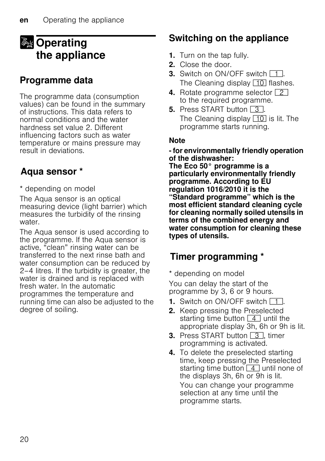## <span id="page-19-0"></span>**Sy** Operating the appliance

### Programme data

<span id="page-19-1"></span>The programme data (consumption values) can be found in the summary of instructions. This data refers to normal conditions and the water hardness set value 2. Different influencing factors such as water temperature or mains pressure may result in deviations.

### Aqua sensor \*

\* depending on model

The Aqua sensor is an optical measuring device (light barrier) which measures the turbidity of the rinsing water.

The Aqua sensor is used according to the programme. If the Aqua sensor is active, "clean" rinsing water can be transferred to the next rinse bath and water consumption can be reduced by 2–4 litres. If the turbidity is greater, the water is drained and is replaced with fresh water. In the automatic programmes the temperature and running time can also be adjusted to the degree of soiling.

### Switching on the appliance

- 1. Turn on the tap fully.
- 2. Close the door.
- **3.** Switch on ON/OFF switch  $\boxed{1}$ . The Cleaning display  $\boxed{10}$  flashes.
- 4. Rotate programme selector  $\boxed{2}$ to the required programme.
- **5.** Press START button  $\boxed{3}$ . The Cleaning display  $\boxed{10}$  is lit. The programme starts running.

#### **Note**

#### - for environmentally friendly operation of the dishwasher:

<span id="page-19-2"></span>The Eco 50° programme is a particularly environmentally friendly programme. According to EU regulation 1016/2010 it is the "Standard programme" which is the most efficient standard cleaning cycle for cleaning normally soiled utensils in terms of the combined energy and water consumption for cleaning these types of utensils.

### Timer programming \*

\* depending on model

You can delay the start of the programme by 3, 6 or 9 hours.

- **1.** Switch on ON/OFF switch  $\boxed{1}$ .
- 2. Keep pressing the Preselected starting time button  $\boxed{4}$  until the appropriate display 3h, 6h or 9h is lit.
- 3. Press START button 3, timer programming is activated.
- 4. To delete the preselected starting time, keep pressing the Preselected starting time button  $\boxed{4}$  until none of the displays 3h, 6h or 9h is lit. You can change your programme selection at any time until the programme starts.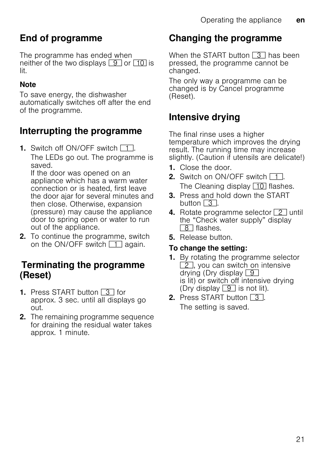### <span id="page-20-0"></span>End of programme

The programme has ended when neither of the two displays  $\boxed{9}$  or  $\boxed{10}$  is lit.

#### **Note**

To save energy, the dishwasher automatically switches off after the end of the programme.

### Interrupting the programme

**1.** Switch off ON/OFF switch  $\boxed{1}$ . The LEDs go out. The programme is saved.

If the door was opened on an appliance which has a warm water connection or is heated, first leave the door ajar for several minutes and then close. Otherwise, expansion (pressure) may cause the appliance door to spring open or water to run out of the appliance.

**2.** To continue the programme, switch on the ON/OFF switch  $\boxed{1}$  again.

#### Terminating the programme (Reset)

- **1.** Press START button  $\boxed{3}$  for approx. 3 sec. until all displays go out.
- 2. The remaining programme sequence for draining the residual water takes approx. 1 minute.

### <span id="page-20-1"></span>Changing the programme

When the START button  $\boxed{3}$  has been pressed, the programme cannot be changed.

The only way a programme can be changed is by Cancel programme (Reset).

### Intensive drying

The final rinse uses a higher temperature which improves the drying result. The running time may increase slightly. (Caution if utensils are delicate!)

- 1. Close the door.
- 2. Switch on  $ON/OFF$  switch  $\boxed{1}$ The Cleaning display  $\boxed{10}$  flashes.
- 3. Press and hold down the START button  $\boxed{3}$
- 4. Rotate programme selector  $\boxed{2}$  until the "Check water supply" display **8** flashes.
- 5. Release button.

#### To change the setting:

- 1. By rotating the programme selector  $\boxed{2}$ , you can switch on intensive drying (Dry display  $\boxed{9}$ is lit) or switch off intensive drying (Dry display  $\boxed{9}$  is not lit).
- **2.** Press START button  $\boxed{3}$ . The setting is saved.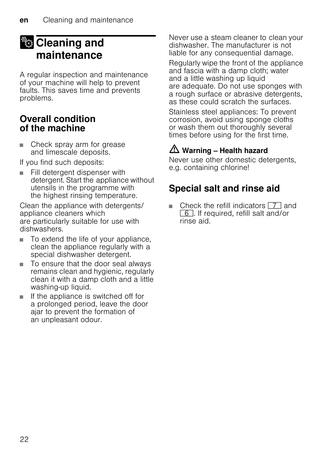## <span id="page-21-0"></span>**22 Cleaning and** maintenance

A regular inspection and maintenance of your machine will help to prevent faults. This saves time and prevents problems.

#### Overall condition of the machine

■ Check spray arm for grease and limescale deposits.

If you find such deposits:

■ Fill detergent dispenser with detergent. Start the appliance without utensils in the programme with the highest rinsing temperature.

Clean the appliance with detergents/ appliance cleaners which are particularly suitable for use with dishwashers.

- To extend the life of your appliance, clean the appliance regularly with a special dishwasher detergent.
- <span id="page-21-1"></span>To ensure that the door seal always remains clean and hygienic, regularly clean it with a damp cloth and a little washing-up liquid.
- If the appliance is switched off for a prolonged period, leave the door ajar to prevent the formation of an unpleasant odour.

Never use a steam cleaner to clean your dishwasher. The manufacturer is not liable for any consequential damage.

Regularly wipe the front of the appliance and fascia with a damp cloth; water and a little washing up liquid are adequate. Do not use sponges with a rough surface or abrasive detergents, as these could scratch the surfaces.

Stainless steel appliances: To prevent corrosion, avoid using sponge cloths or wash them out thoroughly several times before using for the first time.

## $\triangle$  Warning – Health hazard

Never use other domestic detergents, e.g. containing chlorine!

### Special salt and rinse aid

■ Check the refill indicators  $\boxed{7}$  and  $\boxed{6}$ . If required, refill salt and/or rinse aid.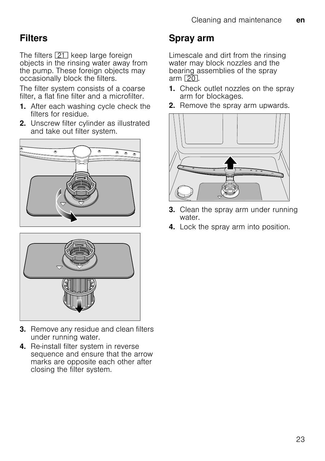### <span id="page-22-0"></span>**Filters**

The filters  $[21]$  keep large foreign objects in the rinsing water away from the pump. These foreign objects may occasionally block the filters.

The filter system consists of a coarse filter, a flat fine filter and a microfilter.

- 1. After each washing cycle check the filters for residue.
- 2. Unscrew filter cylinder as illustrated and take out filter system.





- **3.** Remove any residue and clean filters under running water.
- 4. Re-install filter system in reverse sequence and ensure that the arrow marks are opposite each other after closing the filter system.

### Spray arm

Limescale and dirt from the rinsing water may block nozzles and the bearing assemblies of the spray arm  $\boxed{20}$ .

- 1. Check outlet nozzles on the spray arm for blockages.
- 2. Remove the spray arm upwards.



- **3.** Clean the spray arm under running water.
- 4. Lock the spray arm into position.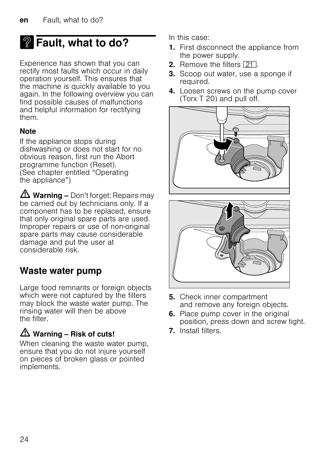# **2** Fault, what to do?

Experience has shown that you can rectify most faults which occur in daily operation yourself. This ensures that the machine is quickly available to you again. In the following overview you can find possible causes of malfunctions and helpful information for rectifying them.

#### **Note**

If the appliance stops during dishwashing or does not start for no obvious reason, first run the Abort programme function (Reset). (See chapter entitled "Operating the appliance")

 $\triangle$  Warning – Don't forget: Repairs may be carried out by technicians only. If a component has to be replaced, ensure that only original spare parts are used. Improper repairs or use of non-original spare parts may cause considerable damage and put the user at considerable risk.

### Waste water pump

Large food remnants or foreign objects which were not captured by the filters may block the waste water pump. The rinsing water will then be above the filter

#### $\triangle$  Warning – Risk of cuts!

When cleaning the waste water pump. ensure that you do not injure yourself on pieces of broken glass or pointed implements.

In this case:

- 1. First disconnect the appliance from the power supply.
- 2. Remove the filters [21].
- **3.** Scoop out water, use a sponge if required.
- 4. Loosen screws on the pump cover (Torx T 20) and pull off.





- 5. Check inner compartment and remove any foreign objects.
- **6.** Place pump cover in the original position, press down and screw tight.
- 7. Install filters.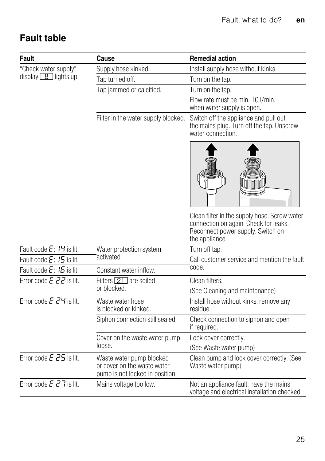## Fault table

| <b>Fault</b>                          | Cause                                                                                      | <b>Remedial action</b>                                                                                                                       |
|---------------------------------------|--------------------------------------------------------------------------------------------|----------------------------------------------------------------------------------------------------------------------------------------------|
| "Check water supply"                  | Supply hose kinked.                                                                        | Install supply hose without kinks.                                                                                                           |
| display $\boxed{8}$ lights up.        | Tap turned off.                                                                            | Turn on the tap.                                                                                                                             |
|                                       | Tap jammed or calcified.                                                                   | Turn on the tap.                                                                                                                             |
|                                       |                                                                                            | Flow rate must be min. 10 I/min.<br>when water supply is open.                                                                               |
|                                       | Filter in the water supply blocked.                                                        | Switch off the appliance and pull out<br>the mains plug. Turn off the tap. Unscrew<br>water connection.                                      |
|                                       |                                                                                            |                                                                                                                                              |
|                                       |                                                                                            | Clean filter in the supply hose. Screw water<br>connection on again. Check for leaks.<br>Reconnect power supply. Switch on<br>the appliance. |
| Fault code E: I'I is lit.             | Water protection system                                                                    | Turn off tap.                                                                                                                                |
| Fault code $E: I5$ is lit.            | activated.                                                                                 | Call customer service and mention the fault                                                                                                  |
| Fault code $E: 15$ is lit.            | Constant water inflow.                                                                     | code.                                                                                                                                        |
| Error code $E:ZZ$ is lit.             | Filters 21 are soiled                                                                      | Clean filters.                                                                                                                               |
|                                       | or blocked.                                                                                | (See Cleaning and maintenance)                                                                                                               |
| Error code $E:Z$ <sup>4</sup> is lit. | Waste water hose<br>is blocked or kinked.                                                  | Install hose without kinks, remove any<br>residue.                                                                                           |
|                                       | Siphon connection still sealed.                                                            | Check connection to siphon and open<br>if required.                                                                                          |
|                                       | Cover on the waste water pump                                                              | Lock cover correctly.                                                                                                                        |
|                                       | loose.                                                                                     | (See Waste water pump)                                                                                                                       |
| Error code $E:25$ is lit.             | Waste water pump blocked<br>or cover on the waste water<br>pump is not locked in position. | Clean pump and lock cover correctly. (See<br>Waste water pump)                                                                               |
| Error code $E:Z$ 7 is lit.            | Mains voltage too low.                                                                     | Not an appliance fault, have the mains<br>voltage and electrical installation checked.                                                       |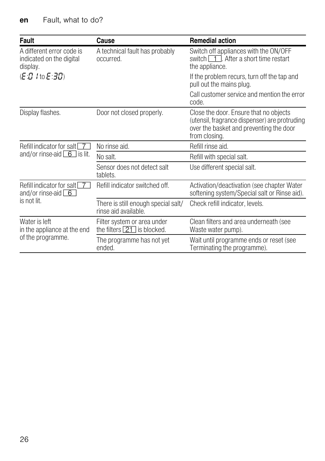| Fault                                                             | Cause                                                               | <b>Remedial action</b>                                                                                                                              |
|-------------------------------------------------------------------|---------------------------------------------------------------------|-----------------------------------------------------------------------------------------------------------------------------------------------------|
| A different error code is<br>indicated on the digital<br>display. | A technical fault has probably<br>occurred.                         | Switch off appliances with the ON/OFF<br>switch $\boxed{1}$ . After a short time restart<br>the appliance.                                          |
| (E:D I to E:30)                                                   |                                                                     | If the problem recurs, turn off the tap and<br>pull out the mains plug.                                                                             |
|                                                                   |                                                                     | Call customer service and mention the error<br>code.                                                                                                |
| Display flashes.                                                  | Door not closed properly.                                           | Close the door. Ensure that no objects<br>(utensil, fragrance dispenser) are protruding<br>over the basket and preventing the door<br>from closing. |
| Refill indicator for salt   7                                     | No rinse aid.                                                       | Refill rinse aid.                                                                                                                                   |
| and/or rinse-aid $\boxed{6}$ is lit.                              | No salt.                                                            | Refill with special salt.                                                                                                                           |
|                                                                   | Sensor does not detect salt<br>tablets.                             | Use different special salt.                                                                                                                         |
| Refill indicator for salt 7<br>and/or rinse-aid $\boxed{6}$       | Refill indicator switched off.                                      | Activation/deactivation (see chapter Water<br>softening system/Special salt or Rinse aid).                                                          |
| is not lit.                                                       | There is still enough special salt/<br>rinse aid available.         | Check refill indicator, levels.                                                                                                                     |
| Water is left<br>in the appliance at the end                      | Filter system or area under<br>the filters $\boxed{21}$ is blocked. | Clean filters and area underneath (see<br>Waste water pump).                                                                                        |
| of the programme.                                                 | The programme has not yet<br>ended.                                 | Wait until programme ends or reset (see<br>Terminating the programme).                                                                              |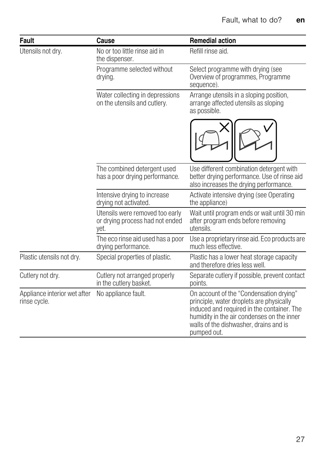| <b>Fault</b>                                 | Cause                                                                      | <b>Remedial action</b>                                                                                                                                                                                                                   |
|----------------------------------------------|----------------------------------------------------------------------------|------------------------------------------------------------------------------------------------------------------------------------------------------------------------------------------------------------------------------------------|
| Utensils not dry.                            | No or too little rinse aid in<br>the dispenser.                            | Refill rinse aid.                                                                                                                                                                                                                        |
|                                              | Programme selected without<br>drying.                                      | Select programme with drying (see<br>Overview of programmes, Programme<br>sequence).                                                                                                                                                     |
|                                              | Water collecting in depressions<br>on the utensils and cutlery.            | Arrange utensils in a sloping position,<br>arrange affected utensils as sloping<br>as possible.                                                                                                                                          |
|                                              |                                                                            |                                                                                                                                                                                                                                          |
|                                              | The combined detergent used<br>has a poor drying performance.              | Use different combination detergent with<br>better drying performance. Use of rinse aid<br>also increases the drying performance.                                                                                                        |
|                                              | Intensive drying to increase<br>drying not activated.                      | Activate intensive drying (see Operating<br>the appliance)                                                                                                                                                                               |
|                                              | Utensils were removed too early<br>or drying process had not ended<br>yet. | Wait until program ends or wait until 30 min<br>after program ends before removing<br>utensils.                                                                                                                                          |
|                                              | The eco rinse aid used has a poor<br>drying performance.                   | Use a proprietary rinse aid. Eco products are<br>much less effective.                                                                                                                                                                    |
| Plastic utensils not dry.                    | Special properties of plastic.                                             | Plastic has a lower heat storage capacity<br>and therefore dries less well.                                                                                                                                                              |
| Cutlery not dry.                             | Cutlery not arranged properly<br>in the cutlery basket.                    | Separate cutlery if possible, prevent contact<br>points.                                                                                                                                                                                 |
| Appliance interior wet after<br>rinse cycle. | No appliance fault.                                                        | On account of the "Condensation drying"<br>principle, water droplets are physically<br>induced and required in the container. The<br>humidity in the air condenses on the inner<br>walls of the dishwasher, drains and is<br>pumped out. |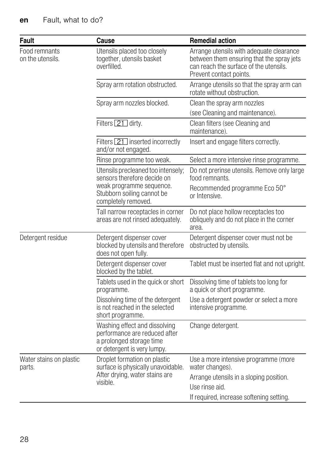| Fault                             | Cause                                                                                                                     | <b>Remedial action</b>                                                                                                                                     |
|-----------------------------------|---------------------------------------------------------------------------------------------------------------------------|------------------------------------------------------------------------------------------------------------------------------------------------------------|
| Food remnants<br>on the utensils. | Utensils placed too closely<br>together, utensils basket<br>overfilled.                                                   | Arrange utensils with adequate clearance<br>between them ensuring that the spray jets<br>can reach the surface of the utensils.<br>Prevent contact points. |
|                                   | Spray arm rotation obstructed.                                                                                            | Arrange utensils so that the spray arm can<br>rotate without obstruction.                                                                                  |
|                                   | Spray arm nozzles blocked.                                                                                                | Clean the spray arm nozzles                                                                                                                                |
|                                   |                                                                                                                           | (see Cleaning and maintenance).                                                                                                                            |
|                                   | Filters 21 dirty.                                                                                                         | Clean filters (see Cleaning and<br>maintenance).                                                                                                           |
|                                   | Filters 21 inserted incorrectly<br>and/or not engaged.                                                                    | Insert and engage filters correctly.                                                                                                                       |
|                                   | Rinse programme too weak.                                                                                                 | Select a more intensive rinse programme.                                                                                                                   |
|                                   | Utensils precleaned too intensely;<br>sensors therefore decide on                                                         | Do not prerinse utensils. Remove only large<br>food remnants.                                                                                              |
|                                   | weak programme sequence.<br>Stubborn soiling cannot be<br>completely removed.                                             | Recommended programme Eco 50°<br>or Intensive.                                                                                                             |
|                                   | Tall narrow receptacles in corner<br>areas are not rinsed adequately.                                                     | Do not place hollow receptacles too<br>obliquely and do not place in the corner<br>area.                                                                   |
| Detergent residue                 | Detergent dispenser cover<br>blocked by utensils and therefore<br>does not open fully.                                    | Detergent dispenser cover must not be<br>obstructed by utensils.                                                                                           |
|                                   | Detergent dispenser cover<br>blocked by the tablet.                                                                       | Tablet must be inserted flat and not upright.                                                                                                              |
|                                   | Tablets used in the quick or short<br>programme.                                                                          | Dissolving time of tablets too long for<br>a quick or short programme.                                                                                     |
|                                   | Dissolving time of the detergent<br>is not reached in the selected<br>short programme.                                    | Use a detergent powder or select a more<br>intensive programme.                                                                                            |
|                                   | Washing effect and dissolving<br>performance are reduced after<br>a prolonged storage time<br>or detergent is very lumpy. | Change detergent.                                                                                                                                          |
| Water stains on plastic<br>parts. | Droplet formation on plastic<br>surface is physically unavoidable.                                                        | Use a more intensive programme (more<br>water changes).                                                                                                    |
|                                   | After drying, water stains are<br>visible.                                                                                | Arrange utensils in a sloping position.<br>Use rinse aid.                                                                                                  |
|                                   |                                                                                                                           | If required, increase softening setting.                                                                                                                   |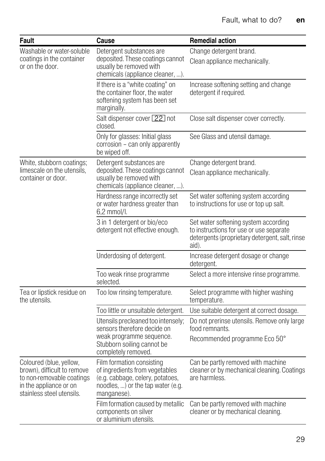| <b>Fault</b>                                                                                                                               | Cause                                                                                                                                               | <b>Remedial action</b>                                                                                                                     |  |  |
|--------------------------------------------------------------------------------------------------------------------------------------------|-----------------------------------------------------------------------------------------------------------------------------------------------------|--------------------------------------------------------------------------------------------------------------------------------------------|--|--|
| Washable or water-soluble<br>coatings in the container<br>or on the door.                                                                  | Detergent substances are<br>deposited. These coatings cannot<br>usually be removed with<br>chemicals (appliance cleaner, ).                         | Change detergent brand.<br>Clean appliance mechanically.                                                                                   |  |  |
|                                                                                                                                            | If there is a "white coating" on<br>the container floor, the water<br>softening system has been set<br>marginally.                                  | Increase softening setting and change<br>detergent if required.                                                                            |  |  |
|                                                                                                                                            | Salt dispenser cover 22 not<br>closed.                                                                                                              | Close salt dispenser cover correctly.                                                                                                      |  |  |
|                                                                                                                                            | Only for glasses: Initial glass<br>corrosion - can only apparently<br>be wiped off.                                                                 | See Glass and utensil damage.                                                                                                              |  |  |
| White, stubborn coatings;<br>limescale on the utensils,<br>container or door.                                                              | Detergent substances are<br>deposited. These coatings cannot<br>usually be removed with<br>chemicals (appliance cleaner, ).                         | Change detergent brand.<br>Clean appliance mechanically.                                                                                   |  |  |
|                                                                                                                                            | Hardness range incorrectly set<br>or water hardness greater than<br>$6.2$ mmol/l.                                                                   | Set water softening system according<br>to instructions for use or top up salt.                                                            |  |  |
|                                                                                                                                            | 3 in 1 detergent or bio/eco<br>detergent not effective enough.                                                                                      | Set water softening system according<br>to instructions for use or use separate<br>detergents (proprietary detergent, salt, rinse<br>aid). |  |  |
|                                                                                                                                            | Underdosing of detergent.                                                                                                                           | Increase detergent dosage or change<br>detergent.                                                                                          |  |  |
|                                                                                                                                            | Too weak rinse programme<br>selected.                                                                                                               | Select a more intensive rinse programme.                                                                                                   |  |  |
| Tea or lipstick residue on<br>the utensils.                                                                                                | Too low rinsing temperature.                                                                                                                        | Select programme with higher washing<br>temperature.                                                                                       |  |  |
|                                                                                                                                            | Too little or unsuitable detergent.                                                                                                                 | Use suitable detergent at correct dosage.                                                                                                  |  |  |
|                                                                                                                                            | Utensils precleaned too intensely;<br>sensors therefore decide on<br>weak programme sequence.<br>Stubborn soiling cannot be                         | Do not prerinse utensils. Remove only large<br>food remnants.<br>Recommended programme Eco 50°                                             |  |  |
|                                                                                                                                            | completely removed.                                                                                                                                 |                                                                                                                                            |  |  |
| Coloured (blue, yellow,<br>brown), difficult to remove<br>to non-removable coatings<br>in the appliance or on<br>stainless steel utensils. | Film formation consisting<br>of ingredients from vegetables<br>(e.g. cabbage, celery, potatoes,<br>noodles, ) or the tap water (e.g.<br>manganese). | Can be partly removed with machine<br>cleaner or by mechanical cleaning. Coatings<br>are harmless.                                         |  |  |
|                                                                                                                                            | Film formation caused by metallic<br>components on silver<br>or aluminium utensils.                                                                 | Can be partly removed with machine<br>cleaner or by mechanical cleaning.                                                                   |  |  |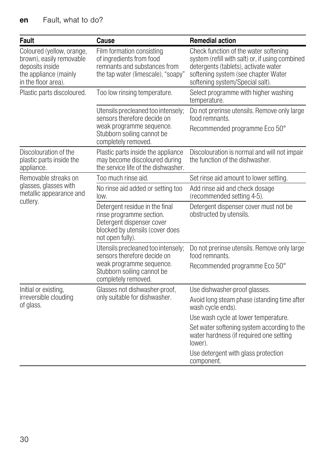| <b>Fault</b>                                                                                                             | Cause                                                                                                                                              | <b>Remedial action</b>                                                                                                                                                                                     |
|--------------------------------------------------------------------------------------------------------------------------|----------------------------------------------------------------------------------------------------------------------------------------------------|------------------------------------------------------------------------------------------------------------------------------------------------------------------------------------------------------------|
| Coloured (yellow, orange,<br>brown), easily removable<br>deposits inside<br>the appliance (mainly<br>in the floor area). | Film formation consisting<br>of ingredients from food<br>remnants and substances from<br>the tap water (limescale), "soapy"                        | Check function of the water softening<br>system (refill with salt) or, if using combined<br>detergents (tablets), activate water<br>softening system (see chapter Water<br>softening system/Special salt). |
| Plastic parts discoloured.                                                                                               | Too low rinsing temperature.                                                                                                                       | Select programme with higher washing<br>temperature.                                                                                                                                                       |
|                                                                                                                          | Utensils precleaned too intensely;<br>sensors therefore decide on<br>weak programme sequence.<br>Stubborn soiling cannot be<br>completely removed. | Do not prerinse utensils. Remove only large<br>food remnants.<br>Recommended programme Eco 50°                                                                                                             |
| Discolouration of the<br>plastic parts inside the<br>appliance.                                                          | Plastic parts inside the appliance<br>may become discoloured during<br>the service life of the dishwasher.                                         | Discolouration is normal and will not impair<br>the function of the dishwasher.                                                                                                                            |
| Removable streaks on                                                                                                     | Too much rinse aid.                                                                                                                                | Set rinse aid amount to lower setting.                                                                                                                                                                     |
| glasses, glasses with<br>metallic appearance and                                                                         | No rinse aid added or setting too<br>low.                                                                                                          | Add rinse aid and check dosage<br>(recommended setting 4-5).                                                                                                                                               |
| cutlery.                                                                                                                 | Detergent residue in the final<br>rinse programme section.<br>Detergent dispenser cover<br>blocked by utensils (cover does<br>not open fully).     | Detergent dispenser cover must not be<br>obstructed by utensils.                                                                                                                                           |
|                                                                                                                          | Utensils precleaned too intensely;<br>sensors therefore decide on<br>weak programme sequence.<br>Stubborn soiling cannot be                        | Do not prerinse utensils. Remove only large<br>food remnants.<br>Recommended programme Eco 50°                                                                                                             |
|                                                                                                                          | completely removed.                                                                                                                                |                                                                                                                                                                                                            |
| Initial or existing,                                                                                                     | Glasses not dishwasher-proof,                                                                                                                      | Use dishwasher-proof glasses.                                                                                                                                                                              |
| irreversible clouding<br>of glass.                                                                                       | only suitable for dishwasher.                                                                                                                      | Avoid long steam phase (standing time after<br>wash cycle ends).                                                                                                                                           |
|                                                                                                                          |                                                                                                                                                    | Use wash cycle at lower temperature.                                                                                                                                                                       |
|                                                                                                                          |                                                                                                                                                    | Set water softening system according to the<br>water hardness (if required one setting<br>lower).                                                                                                          |
|                                                                                                                          |                                                                                                                                                    | Use detergent with glass protection<br>component.                                                                                                                                                          |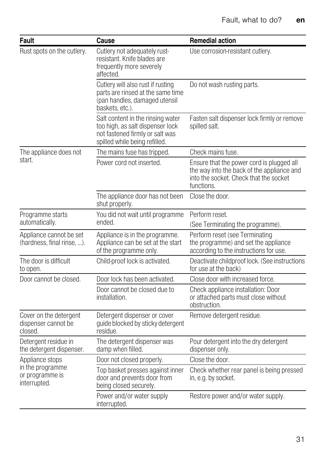<span id="page-30-3"></span><span id="page-30-2"></span><span id="page-30-1"></span><span id="page-30-0"></span>

| Fault                                                                  | Cause                                                                                                                                     | <b>Remedial action</b>                                                                                                                          |
|------------------------------------------------------------------------|-------------------------------------------------------------------------------------------------------------------------------------------|-------------------------------------------------------------------------------------------------------------------------------------------------|
| Rust spots on the cutlery.                                             | Cutlery not adequately rust-<br>resistant. Knife blades are<br>frequently more severely<br>affected.                                      | Use corrosion-resistant cutlery.                                                                                                                |
|                                                                        | Cutlery will also rust if rusting<br>parts are rinsed at the same time<br>(pan handles, damaged utensil<br>baskets, etc.).                | Do not wash rusting parts.                                                                                                                      |
|                                                                        | Salt content in the rinsing water<br>too high, as salt dispenser lock<br>not fastened firmly or salt was<br>spilled while being refilled. | Fasten salt dispenser lock firmly or remove<br>spilled salt.                                                                                    |
| The appliance does not<br>start.                                       | The mains fuse has tripped.                                                                                                               | Check mains fuse.                                                                                                                               |
|                                                                        | Power cord not inserted.                                                                                                                  | Ensure that the power cord is plugged all<br>the way into the back of the appliance and<br>into the socket. Check that the socket<br>functions. |
|                                                                        | The appliance door has not been<br>shut properly.                                                                                         | Close the door.                                                                                                                                 |
| Programme starts<br>automatically.                                     | You did not wait until programme<br>ended.                                                                                                | Perform reset.<br>(See Terminating the programme).                                                                                              |
| Appliance cannot be set<br>(hardness, final rinse, ).                  | Appliance is in the programme.<br>Appliance can be set at the start<br>of the programme only.                                             | Perform reset (see Terminating<br>the programme) and set the appliance<br>according to the instructions for use.                                |
| The door is difficult<br>to open.                                      | Child-proof lock is activated.                                                                                                            | Deactivate childproof lock. (See instructions<br>for use at the back)                                                                           |
| Door cannot be closed.                                                 | Door lock has been activated.                                                                                                             | Close door with increased force.                                                                                                                |
|                                                                        | Door cannot be closed due to<br>installation.                                                                                             | Check appliance installation: Door<br>or attached parts must close without<br>obstruction.                                                      |
| Cover on the detergent<br>dispenser cannot be<br>closed.               | Detergent dispenser or cover<br>guide blocked by sticky detergent<br>residue.                                                             | Remove detergent residue.                                                                                                                       |
| Detergent residue in<br>the detergent dispenser.                       | The detergent dispenser was<br>damp when filled.                                                                                          | Pour detergent into the dry detergent<br>dispenser only.                                                                                        |
| Appliance stops<br>in the programme<br>or programme is<br>interrupted. | Door not closed properly.                                                                                                                 | Close the door.                                                                                                                                 |
|                                                                        | Top basket presses against inner<br>door and prevents door from<br>being closed securely.                                                 | Check whether rear panel is being pressed<br>in, e.g. by socket.                                                                                |
|                                                                        | Power and/or water supply<br>interrupted.                                                                                                 | Restore power and/or water supply.                                                                                                              |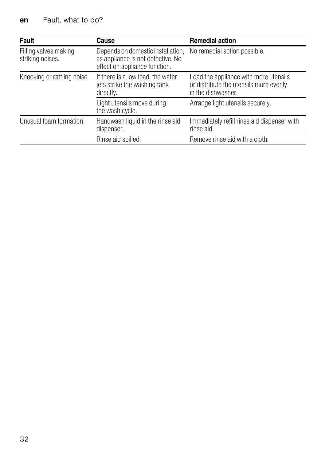<span id="page-31-3"></span><span id="page-31-2"></span><span id="page-31-1"></span><span id="page-31-0"></span>

| Fault                                     | Cause                                                                                                   | <b>Remedial action</b>                                                                                |
|-------------------------------------------|---------------------------------------------------------------------------------------------------------|-------------------------------------------------------------------------------------------------------|
| Filling valves making<br>striking noises. | Depends on domestic installation,<br>as appliance is not defective. No<br>effect on appliance function. | No remedial action possible.                                                                          |
| Knocking or rattling noise.               | If there is a low load, the water<br>jets strike the washing tank<br>directly.                          | Load the appliance with more utensils<br>or distribute the utensils more evenly<br>in the dishwasher. |
|                                           | Light utensils move during<br>the wash cycle.                                                           | Arrange light utensils securely.                                                                      |
| Unusual foam formation.                   | Handwash liquid in the rinse aid<br>dispenser.                                                          | Immediately refill rinse aid dispenser with<br>rinse aid.                                             |
|                                           | Rinse aid spilled.                                                                                      | Remove rinse aid with a cloth.                                                                        |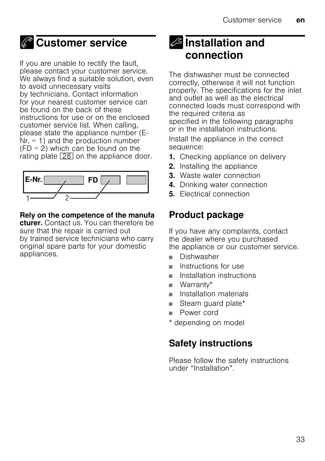## <span id="page-32-0"></span>*C* Customer service

If you are unable to rectify the fault, please contact your customer service. We always find a suitable solution, even to avoid unnecessary visits by technicians. Contact information for your nearest customer service can be found on the back of these instructions for use or on the enclosed customer service list. When calling, please state the appliance number (E- $Nr = 1$  and the production number  $(FD = 2)$  which can be found on the rating plate  $\boxed{28}$  on the appliance door.



#### Rely on the competence of the manufa

cturer. Contact us. You can therefore be sure that the repair is carried out by trained service technicians who carry original spare parts for your domestic appliances.

## <span id="page-32-1"></span>**S** Installation and connection

The dishwasher must be connected correctly, otherwise it will not function properly. The specifications for the inlet and outlet as well as the electrical connected loads must correspond with the required criteria as specified in the following paragraphs or in the installation instructions.

Install the appliance in the correct sequence:

- 1. Checking appliance on delivery
- 2. Installing the appliance
- 3. Waste water connection
- 4. Drinking water connection
- 5. Electrical connection

### Product package

If you have any complaints, contact the dealer where you purchased the appliance or our customer service.

- Dishwasher
- Instructions for use
- Installation instructions
- Warranty\*
- Installation materials
- Steam quard plate\*
- Power cord
- \* depending on model

### Safety instructions

Please follow the safety instructions under "Installation".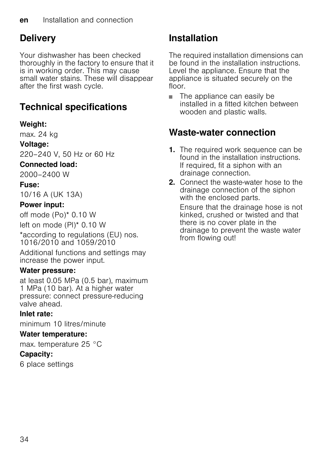### <span id="page-33-0"></span>**Delivery**

Your dishwasher has been checked thoroughly in the factory to ensure that it is in working order. This may cause small water stains. These will disappear after the first wash cycle.

## Technical specifications

#### Weight:

max. 24 kg

#### <span id="page-33-1"></span>Voltage:

220–240 V, 50 Hz or 60 Hz

#### Connected load:

2000–2400 W

#### Fuse:

10/16 A (UK 13A)

#### Power input:

off mode (Po)\* 0.10 W

left on mode (Pl)\* 0.10 W

\*according to regulations (EU) nos. 1016/2010 and 1059/2010

Additional functions and settings may increase the power input.

#### Water pressure:

at least 0.05 MPa (0.5 bar), maximum 1 MPa (10 bar). At a higher water pressure: connect pressure-reducing valve ahead.

#### Inlet rate:

minimum 10 litres/minute

#### Water temperature:

max. temperature 25 °C

#### Capacity:

6 place settings

### Installation

The required installation dimensions can be found in the installation instructions. Level the appliance. Ensure that the appliance is situated securely on the floor.

■ The appliance can easily be installed in a fitted kitchen between wooden and plastic walls.

### Waste-water connection

- 1. The required work sequence can be found in the installation instructions. If required, fit a siphon with an drainage connection.
- <span id="page-33-2"></span>2. Connect the waste-water hose to the drainage connection of the siphon with the enclosed parts.

Ensure that the drainage hose is not kinked, crushed or twisted and that there is no cover plate in the drainage to prevent the waste water from flowing out!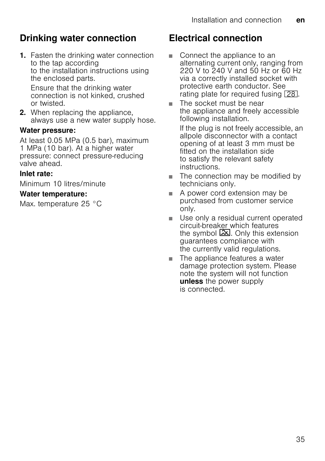### Drinking water connection

1. Fasten the drinking water connection to the tap according to the installation instructions using the enclosed parts.

Ensure that the drinking water connection is not kinked, crushed or twisted.

2. When replacing the appliance. always use a new water supply hose.

#### Water pressure:

At least 0.05 MPa (0.5 bar), maximum 1 MPa (10 bar). At a higher water pressure: connect pressure-reducing valve ahead.

#### Inlet rate:

Minimum 10 litres/minute

#### Water temperature:

Max. temperature 25 °C

### Electrical connection

- Connect the appliance to an alternating current only, ranging from 220 V to 240 V and 50 Hz or 60 Hz via a correctly installed socket with protective earth conductor. See rating plate for required fusing  $\boxed{28}$ .
- The socket must be near the appliance and freely accessible following installation.

If the plug is not freely accessible, an allpole disconnector with a contact opening of at least 3 mm must be fitted on the installation side to satisfy the relevant safety instructions.

- The connection may be modified by technicians only.
- A power cord extension may be purchased from customer service only.
- Use only a residual current operated circuit-breaker which features the symbol  $\boxed{3}$ . Only this extension guarantees compliance with the currently valid regulations.
- The appliance features a water damage protection system. Please note the system will not function unless the power supply is connected.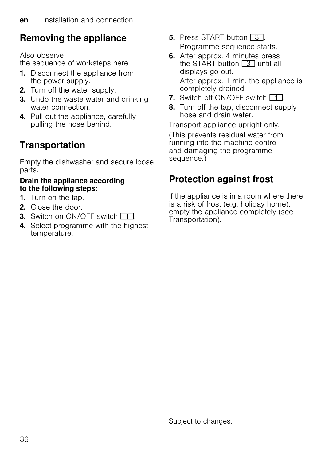### Removing the appliance

Also observe the sequence of worksteps here.

- 1. Disconnect the appliance from the power supply.
- 2. Turn off the water supply.
- **3.** Undo the waste water and drinking water connection.
- 4. Pull out the appliance, carefully pulling the hose behind.

## **Transportation**

Empty the dishwasher and secure loose parts.

#### Drain the appliance according to the following steps:

- 1. Turn on the tap.
- 2. Close the door.
- **3.** Switch on ON/OFF switch  $\boxed{1}$ .
- 4. Select programme with the highest temperature.
- **5.** Press START button  $\boxed{3}$ . Programme sequence starts.
- 6. After approx. 4 minutes press the START button  $\boxed{3}$  until all displays go out. After approx. 1 min. the appliance is completely drained.
- 7. Switch off ON/OFF switch  $\Box$ .
- 8. Turn off the tap, disconnect supply hose and drain water.

Transport appliance upright only.

(This prevents residual water from running into the machine control and damaging the programme sequence.)

### Protection against frost

If the appliance is in a room where there is a risk of frost (e.g. holiday home), empty the appliance completely (see Transportation).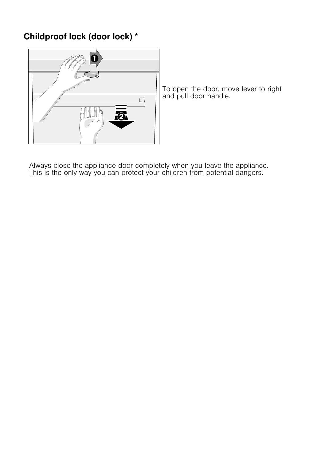#### Childproof lock (door lock) \*



To open the door, move lever to right and pull door handle.

Always close the appliance door completely when you leave the appliance. This is the only way you can protect your children from potential dangers.